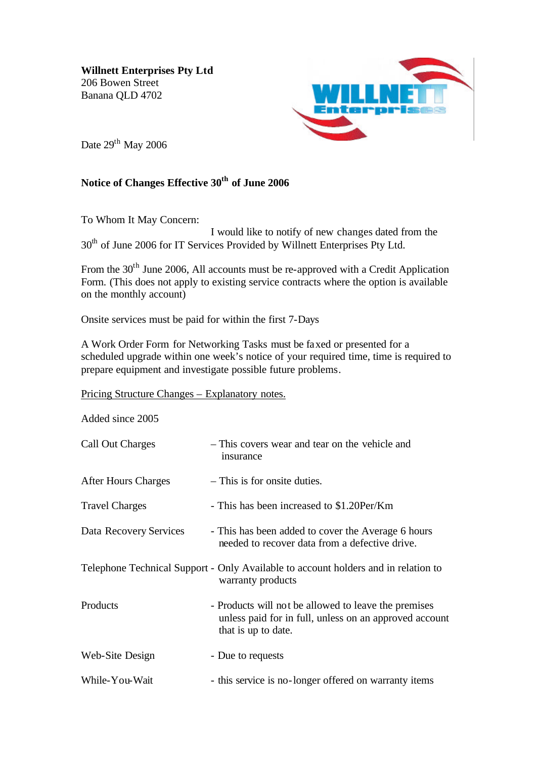**Willnett Enterprises Pty Ltd** 206 Bowen Street Banana QLD 4702



Date 29<sup>th</sup> May 2006

## **Notice of Changes Effective 30th of June 2006**

To Whom It May Concern:

I would like to notify of new changes dated from the 30<sup>th</sup> of June 2006 for IT Services Provided by Willnett Enterprises Pty Ltd.

From the 30<sup>th</sup> June 2006, All accounts must be re-approved with a Credit Application Form. (This does not apply to existing service contracts where the option is available on the monthly account)

Onsite services must be paid for within the first 7-Days

A Work Order Form for Networking Tasks must be faxed or presented for a scheduled upgrade within one week's notice of your required time, time is required to prepare equipment and investigate possible future problems.

Pricing Structure Changes – Explanatory notes.

Added since 2005

| Call Out Charges           | - This covers wear and tear on the vehicle and<br>insurance                                                                           |
|----------------------------|---------------------------------------------------------------------------------------------------------------------------------------|
| <b>After Hours Charges</b> | - This is for onsite duties.                                                                                                          |
| <b>Travel Charges</b>      | - This has been increased to \$1.20Per/Km                                                                                             |
| Data Recovery Services     | - This has been added to cover the Average 6 hours<br>needed to recover data from a defective drive.                                  |
|                            | Telephone Technical Support - Only Available to account holders and in relation to<br>warranty products                               |
| Products                   | - Products will not be allowed to leave the premises<br>unless paid for in full, unless on an approved account<br>that is up to date. |
| Web-Site Design            | - Due to requests                                                                                                                     |
| While-You-Wait             | - this service is no-longer offered on warranty items                                                                                 |